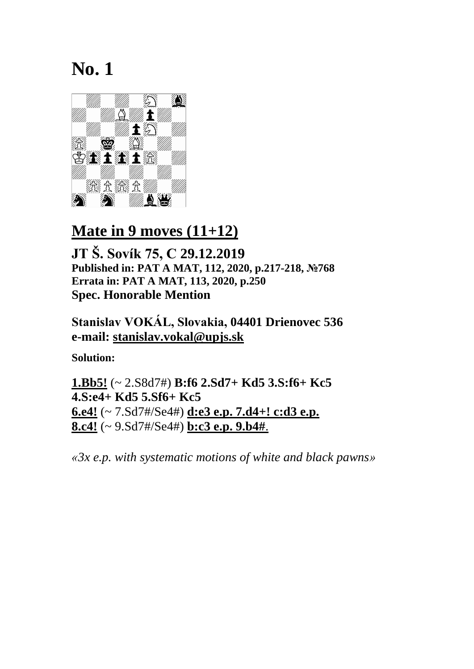

### **Mate in 9 moves (11+12)**

**JT Š. Sovík 75, C 29.12.2019 Published in: PAT A MAT, 112, 2020, p.217-218, №768 Errata in: PAT A MAT, 113, 2020, p.250 Spec. Honorable Mention**

**Stanislav VOKÁL, Slovakia, 04401 Drienovec 536 e-mail: [stanislav.vokal@upjs.sk](mailto:stanislav.vokal@upjs.sk)**

**Solution:**

**1.Bb5!** (~ 2.S8d7#) **B:f6 2.Sd7+ Kd5 3.S:f6+ Kc5 4.S:e4+ Kd5 5.Sf6+ Kc5 6.e4!** (~ 7.Sd7#/Se4#) **d:e3 e.p. 7.d4+! c:d3 e.p. 8.c4!** (~ 9.Sd7#/Se4#) **b:c3 e.p. 9.b4#**.

*«3x e.p. with systematic motions of white and black pawns»*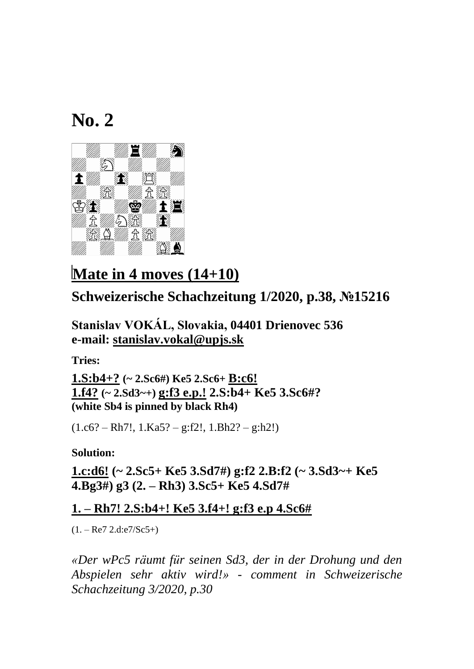

# **Mate in 4 moves (14+10)**

### **Schweizerische Schachzeitung 1/2020, p.38, №15216**

**Stanislav VOKÁL, Slovakia, 04401 Drienovec 536 e-mail: [stanislav.vokal@upjs.sk](mailto:stanislav.vokal@upjs.sk)**

**Tries:**

**1.S:b4+? (~ 2.Sc6#) Ke5 2.Sc6+ B:c6! 1.f4? (~ 2.Sd3~+) g:f3 e.p.! 2.S:b4+ Ke5 3.Sc6#? (white Sb4 is pinned by black Rh4)**

 $(1.c6? - Rh7!, 1.Ka5? - g:f2!, 1.Bh2? - g:h2!)$ 

**Solution:**

**1.c:d6! (~ 2.Sc5+ Ke5 3.Sd7#) g:f2 2.B:f2 (~ 3.Sd3~+ Ke5 4.Bg3#) g3 (2. – Rh3) 3.Sc5+ Ke5 4.Sd7#**

#### **1. – Rh7! 2.S:b4+! Ke5 3.f4+! g:f3 e.p 4.Sc6#**

 $(1. - Re7 2.d.e7/Sc5+)$ 

*«Der wPc5 räumt für seinen Sd3, der in der Drohung und den Abspielen sehr aktiv wird!» - comment in Schweizerische Schachzeitung 3/2020, p.30*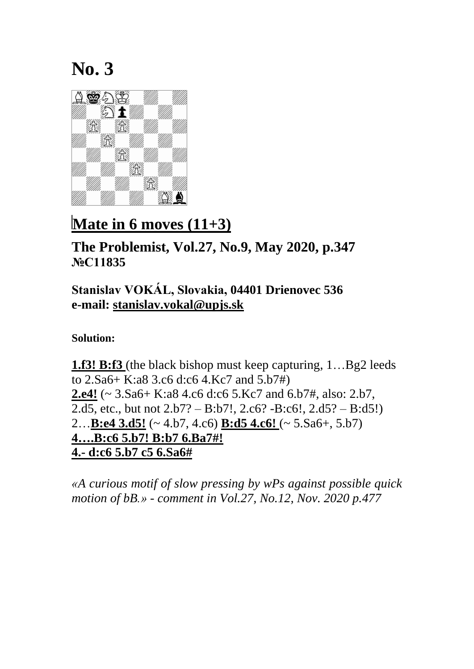

# **Mate in 6 moves (11+3)**

**The Problemist, Vol.27, No.9, May 2020, p.347 №C11835**

### **Stanislav VOKÁL, Slovakia, 04401 Drienovec 536 e-mail: [stanislav.vokal@upjs.sk](mailto:stanislav.vokal@upjs.sk)**

**Solution:**

**1.f3! B:f3** (the black bishop must keep capturing, 1…Bg2 leeds to 2.Sa6+ K:a8 3.c6 d:c6 4.Kc7 and 5.b7#) **2.e4!** (~ 3.Sa6+ K:a8 4.c6 d:c6 5.Kc7 and 6.b7#, also: 2.b7, 2.d5, etc., but not 2.b7? – B:b7!, 2.c6? -B:c6!, 2.d5? – B:d5!) 2…**B:e4 3.d5!** (~ 4.b7, 4.c6) **B:d5 4.c6!** (~ 5.Sa6+, 5.b7) **4….B:c6 5.b7! B:b7 6.Ba7#! 4.- d:c6 5.b7 c5 6.Sa6#**

*«A curious motif of slow pressing by wPs against possible quick motion of bB.» - comment in Vol.27, No.12, Nov. 2020 p.477*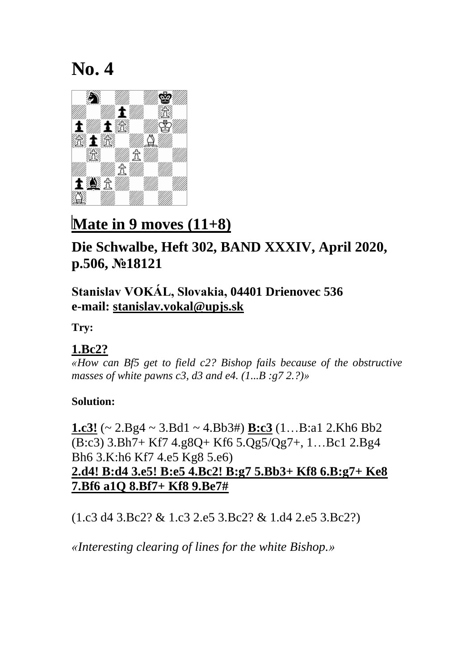

## **Mate in 9 moves (11+8)**

### **Die Schwalbe, Heft 302, BAND XXXIV, April 2020, p.506, №18121**

#### **Stanislav VOKÁL, Slovakia, 04401 Drienovec 536 e-mail: [stanislav.vokal@upjs.sk](mailto:stanislav.vokal@upjs.sk)**

**Try:**

#### **1.Bc2?**

*«How can Bf5 get to field c2? Bishop fails because of the obstructive masses of white pawns c3, d3 and e4. (1...B :g7 2.?)»*

#### **Solution:**

**1.c3!** (~ 2.Bg4 ~ 3.Bd1 ~ 4.Bb3#) **B:c3** (1…B:a1 2.Kh6 Bb2 (B:c3) 3.Bh7+ Kf7 4.g8Q+ Kf6 5.Qg5/Qg7+, 1…Bc1 2.Bg4 Bh6 3.K:h6 Kf7 4.e5 Kg8 5.e6) **2.d4! B:d4 3.e5! B:e5 4.Bc2! B:g7 5.Bb3+ Kf8 6.B:g7+ Ke8 7.Bf6 a1Q 8.Bf7+ Kf8 9.Be7#**

(1.c3 d4 3.Bc2? & 1.c3 2.e5 3.Bc2? & 1.d4 2.e5 3.Bc2?)

*«Interesting clearing of lines for the white Bishop.»*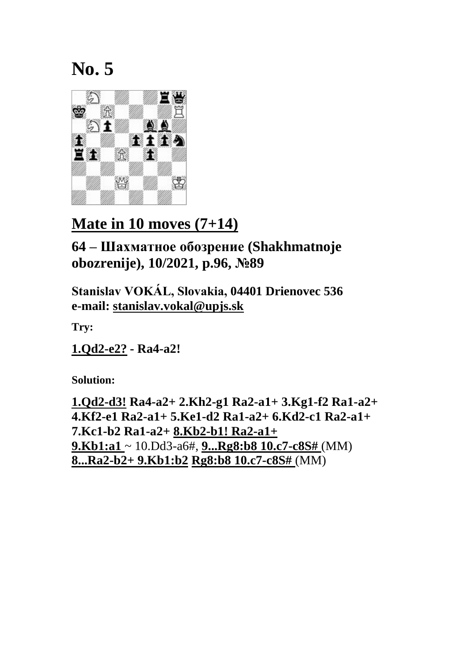

## **Mate in 10 moves (7+14)**

**64 – Шахматное обозрение (Shakhmatnoje obozrenije), 10/2021, p.96, №89**

**Stanislav VOKÁL, Slovakia, 04401 Drienovec 536 e-mail: [stanislav.vokal@upjs.sk](mailto:stanislav.vokal@upjs.sk)**

**Try:**

**1.Qd2-e2? - Ra4-a2!**

**Solution:**

**1.Qd2-d3! Ra4-a2+ 2.Kh2-g1 Ra2-a1+ 3.Kg1-f2 Ra1-a2+ 4.Kf2-e1 Ra2-a1+ 5.Ke1-d2 Ra1-a2+ 6.Kd2-c1 Ra2-a1+ 7.Kc1-b2 Ra1-a2+ 8.Kb2-b1! Ra2-a1+ 9.Kb1:a1** ~ 10.Dd3-a6#, **9...Rg8:b8 10.c7-c8S#** (MM) **8...Ra2-b2+ 9.Kb1:b2 Rg8:b8 10.c7-c8S#** (MM)